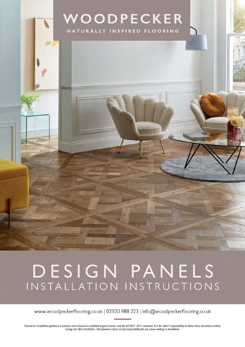

# DESIGN PANELS INSTALLATION INSTRUCTIONS

www.woodpeckerflooring.co.uk | 02920 888 223 | info@woodpeckerflooring.co.uk

Disclaimer: Installation guidance is advisory and is based on established good practice and the BS-8201-2011 standard. It is the fitter's responsibility to follow these procedures before, during and after installation. Woodpecker cannot accept responsibility for any issues relating to installation.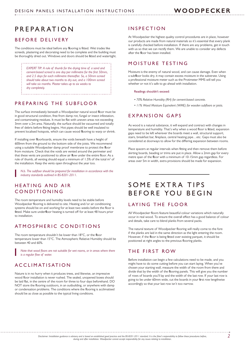# PREPARATION

# BEFORE DELIVERY

The conditions must be ideal before any flooring is fitted. Wet trades like screeds, plastering and decorating need to be complete and the building must be thoroughly dried out. Windows and doors should be fitted and watertight.

> *EXPERT TIP: A rule of thumb for the drying time of a sand and cement-based screed is one day per millimetre for the first 50mm, and 2.5 days for each millimetre thereafter. So, a 50mm screed should take about two months to dry out, and a 100mm screed will take six months. Plaster takes up to six weeks to dry completely.*

# PREPARING THE SUBFLOOR

The surface immediately beneath a Woodpecker natural wood floor must be in good structural condition, free from damp rot, fungal or insect infestation, and contaminating residues. It must be flat with uneven areas not exceeding 3mm over a 2m area. Naturally, the surface should be vacuumed and totally free of debris before fitting begins. Hot pipes should be well insulated to prevent localised hotspots, which can cause wood flooring to warp or shrink.

If installing over floorboards, ensure the voids beneath have a height of 600mm from the ground to the bottom side of the joists. We recommend using a suitable Woodpecker damp proof membrane to protect the floor from moisture. Check that the voids are vented around the perimeter and that these vents are positioned to allow air flow under the entire floor. As a rule of thumb, all venting should equal a minimum of  $1.5\%$  of the total m<sup>2</sup> of the installation. Keep the vents open throughout the year too.

*N.b. The subfloor should be prepared for installation in accordance with the industry standards outlined in BS-8201-2011.*

# HEATING AND AIR CONDITIONING

The room temperature and humidity levels need to be stable before Woodpecker flooring is delivered to site. Heating and/or air conditioning systems should be on and working for at least two weeks before the floor is fitted. Make sure underfloor heating is turned off for at least 48 hours prior to installation.

# ATMOSPHERIC CONDITIONS

The room temperature shouldn't be lower than 18°C, or the floor temperature lower than 15°C. The Atmospheric Relative Humidity should be between 40 and 60%.

*Note that wood floors are not suitable for wet rooms, or in areas where there is a regular flow of water.*

# ACCLIMATISATION

Nature is in no hurry when it produces trees, and likewise, an impressive wood floor installation is never rushed. The sealed, unopened boxes should be laid flat, in the centre of the room for three to four days beforehand. DO NOT store the flooring outdoors, in an outbuilding, or anywhere with damp or condensation problems. The conditions where the flooring is acclimatised should be as close as possible to the typical living conditions.

## INSPECTION

At Woodpecker the highest quality control procedures are in place, however our products are made from natural materials so it's essential that every plank is carefully checked before installation. If there are any problems, get in touch with us so that we can rectify them. We are unable to consider any defects after the floor has been installed.

# MOISTURE TESTING

Moisture is the enemy of natural wood, and can cause damage. Even when a subfloor looks dry, it may contain excess moisture in the substrate. Using a professional moisture meter such as the Protimeter MMS will tell you whether or not it's safe to go ahead with installation.

#### Readings shouldn't exceed:

- *70% Relative Humidity (RH) for cement-based concrete.*
- *11% Wood Moisture Equivalent (WME) for wooden subfloors or joists.*

# EXPANSION GAPS

As wood is a natural substance, it will expand and contract with changes in temperature and humidity. That's why when a wood floor is fitted, expansion gaps need to be left wherever the boards meet a wall, structural support, stairs, breakfast bar, fireplace, central heating pipe…etc. Gaps must also be considered at doorways to allow for the differing expansion between rooms.

Place spacers at regular intervals when fitting and then remove them before skirting boards, beading or trims are put in place. Allow a 2mm gap for every metre span of the floor with a minimum of 10-15mm gap regardless. For areas over 5m in width, extra provisions should be made for expansion.

# SOME EXTRA TIPS BEFORE YOU BEGIN

# LAYING THE FLOOR

All Woodpecker floors feature beautiful colour variations which naturally occur in real wood. To ensure the overall effect has a good balance of colour and details, take care to blend planks from several packs.

The natural texture of Woodpecker flooring will really come to the fore if the planks are laid in the same direction as the light entering the room. However, if the floor is being fitted over existing parquet, it should be positioned at right angles to the previous flooring planks.

### THE FIRST ROW

Before installation can begin a few calculations need to be made, and you might have to do some cutting before you can start laying. When you've chosen your starting wall, measure the width of the room from there and divide that by the width of the flooring panels. This will give you the number of rows of boards you'll lay and the width of the last row. If your last row is going to be under 60mm wide, cut the boards in your first row lengthwise accordingly so that your last row isn't too narrow.

*Disclaimer: Installation guidance is advisory and is based on established good practice and the BS-8201-2011 standard. It is the fitter's responsibility to follow these procedures before, during and after installation. Woodpecker cannot accept responsibility for any issues relating to installation.*